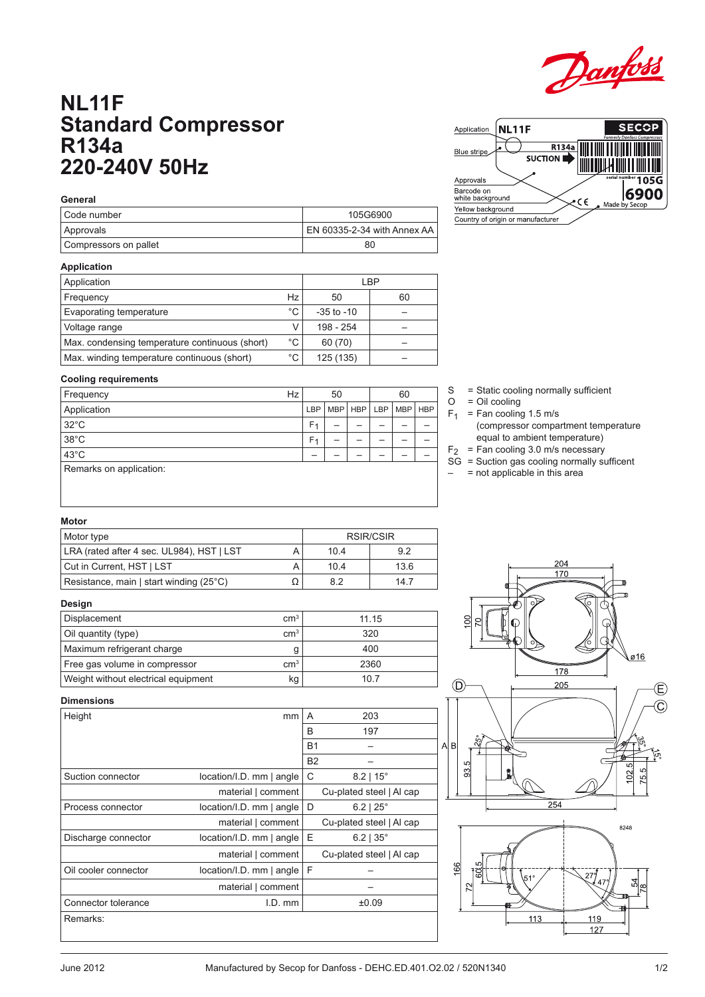

# **NL11F Standard Compressor R134a 220-240V 50Hz**

| <b>NL11F</b><br>Application                            |                         | <b>SECOP</b><br>Formerly Danfoss Compressors |
|--------------------------------------------------------|-------------------------|----------------------------------------------|
| Blue stripe                                            | R134a<br><b>SUCTION</b> |                                              |
| Approvals<br>Barcode on<br>white background            |                         | serial number 105G<br>6900<br>C€             |
| Yellow background<br>Country of origin or manufacturer |                         | Made by Secop                                |

| General               |                             |
|-----------------------|-----------------------------|
| I Code number         | 105G6900                    |
| Approvals             | EN 60335-2-34 with Annex AA |
| Compressors on pallet | 80                          |

# **Application**

**Cooling requirements**

Remarks on application:

| Application                                    |             | I BP           |    |
|------------------------------------------------|-------------|----------------|----|
| Frequency                                      | Hz          | 50             | 60 |
| Evaporating temperature                        | °C.         | $-35$ to $-10$ |    |
| Voltage range                                  |             | 198 - 254      |    |
| Max. condensing temperature continuous (short) | $^{\circ}C$ | 60 (70)        |    |
| Max. winding temperature continuous (short)    | °C          | 125 (135)      |    |

Frequency  $Hz$  50 60 Application LBP MBP HBP LBP MBP HBP HBP 32°C F1 – – – – – 38°C F1 – – – – – 43°C – – – – – –

#### S = Static cooling normally sufficient

- $O = Oil$  cooling
- $F_1$  = Fan cooling 1.5 m/s
	- (compressor compartment temperature equal to ambient temperature)
- $F_2$  = Fan cooling 3.0 m/s necessary
- SG = Suction gas cooling normally sufficent
- $-$  = not applicable in this area

#### **Motor**

| Motor type                                |  | RSIR/CSIR |      |
|-------------------------------------------|--|-----------|------|
| LRA (rated after 4 sec. UL984), HST   LST |  | 104       | 92   |
| Cut in Current, HST   LST                 |  | 104       | 13.6 |
| Resistance, main   start winding (25°C)   |  | 82        | 14.7 |

### **Design**

| Displacement                        | cm <sup>3</sup> | 11 15 |
|-------------------------------------|-----------------|-------|
| Oil quantity (type)                 | cm <sup>3</sup> | 320   |
| Maximum refrigerant charge          |                 | 400   |
| Free gas volume in compressor       | cm <sup>3</sup> | 2360  |
| Weight without electrical equipment | kg              | 10.7  |

# 204 170 S ø16 178  $\circled{D}$ 205 B  $\mathcal{L}$ 33.  $\overline{0}$ 8248 119

# **Dimensions**

| טווטופווטווע         |                              |           |                          |
|----------------------|------------------------------|-----------|--------------------------|
| Height               | mm                           | A         | 203                      |
|                      |                              | B         | 197                      |
|                      |                              | <b>B1</b> |                          |
|                      |                              | <b>B2</b> |                          |
| Suction connector    | $location/I.D.$ mm $ angle$  | C         | $8.2$   15°              |
|                      | material   comment           |           | Cu-plated steel   Al cap |
| Process connector    | $location/I.D.$ mm $ angle$  | D         | $6.2$   $25^{\circ}$     |
|                      | material   comment           |           | Cu-plated steel   Al cap |
| Discharge connector  | $location/I.D.$ mm $ angle $ | E         | $6.2$   35 $^{\circ}$    |
|                      | material   comment           |           | Cu-plated steel   Al cap |
| Oil cooler connector | location/I.D. mm   angle     | F         |                          |
|                      | material   comment           |           |                          |
| Connector tolerance  | $I.D.$ mm                    |           | ±0.09                    |
| Remarks:             |                              |           |                          |
|                      |                              |           |                          |



127